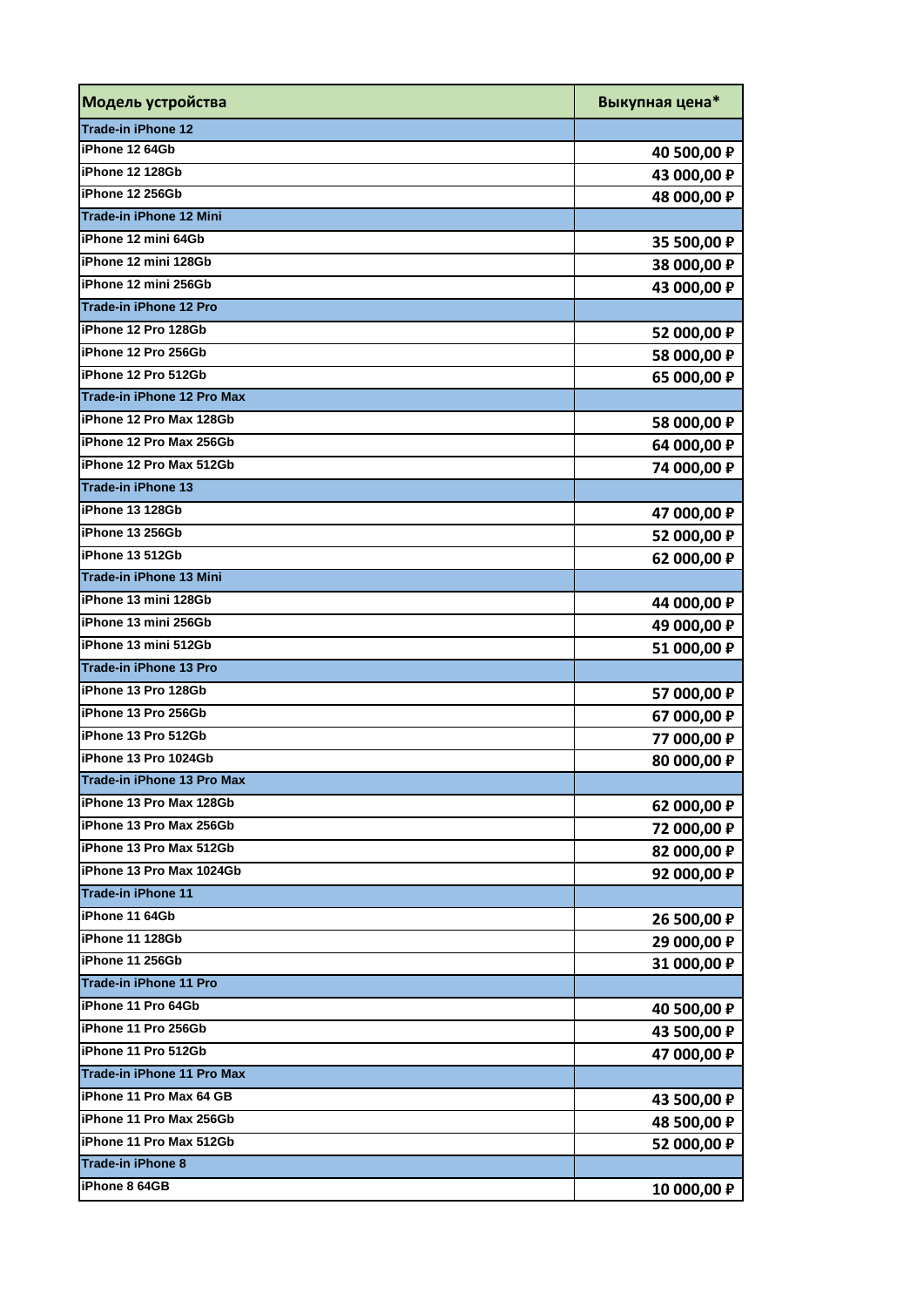| Модель устройства             | Выкупная цена* |
|-------------------------------|----------------|
| Trade-in iPhone 12            |                |
| iPhone 12 64Gb                | 40 500,00 P    |
| iPhone 12 128Gb               | 43 000,00 P    |
| iPhone 12 256Gb               | 48 000,00 P    |
| Trade-in iPhone 12 Mini       |                |
| iPhone 12 mini 64Gb           | 35 500,00 P    |
| iPhone 12 mini 128Gb          | 38 000,00 P    |
| iPhone 12 mini 256Gb          | 43 000,00 P    |
| <b>Trade-in iPhone 12 Pro</b> |                |
| iPhone 12 Pro 128Gb           | 52 000,00 P    |
| iPhone 12 Pro 256Gb           | 58 000,00 P    |
| iPhone 12 Pro 512Gb           | 65 000,00 P    |
| Trade-in iPhone 12 Pro Max    |                |
| iPhone 12 Pro Max 128Gb       | 58 000,00 P    |
| iPhone 12 Pro Max 256Gb       | 64 000,00 P    |
| iPhone 12 Pro Max 512Gb       | 74 000,00 P    |
| <b>Trade-in iPhone 13</b>     |                |
| iPhone 13 128Gb               | 47 000,00 P    |
| iPhone 13 256Gb               | 52 000,00 P    |
| iPhone 13 512Gb               | 62 000,00 P    |
| Trade-in iPhone 13 Mini       |                |
| iPhone 13 mini 128Gb          | 44 000,00 P    |
| iPhone 13 mini 256Gb          | 49 000,00 P    |
| iPhone 13 mini 512Gb          | 51 000,00 P    |
| Trade-in iPhone 13 Pro        |                |
| iPhone 13 Pro 128Gb           | 57 000,00 P    |
| iPhone 13 Pro 256Gb           | 67 000,00 P    |
| iPhone 13 Pro 512Gb           | 77 000,00 ₽    |
| iPhone 13 Pro 1024Gb          | 80 000,00 P    |
| Trade-in iPhone 13 Pro Max    |                |
| iPhone 13 Pro Max 128Gb       | 62 000,00 P    |
| iPhone 13 Pro Max 256Gb       | 72 000,00 P    |
| iPhone 13 Pro Max 512Gb       | 82 000,00 P    |
| iPhone 13 Pro Max 1024Gb      | 92 000,00 P    |
| <b>Trade-in iPhone 11</b>     |                |
| iPhone 11 64Gb                | 26 500,00 P    |
| iPhone 11 128Gb               | 29 000,00 P    |
| iPhone 11 256Gb               | 31 000,00 P    |
| Trade-in iPhone 11 Pro        |                |
| iPhone 11 Pro 64Gb            | 40 500,00 P    |
| iPhone 11 Pro 256Gb           | 43 500,00 P    |
| iPhone 11 Pro 512Gb           | 47 000,00 P    |
| Trade-in iPhone 11 Pro Max    |                |
| iPhone 11 Pro Max 64 GB       | 43 500,00 P    |
| iPhone 11 Pro Max 256Gb       | 48 500,00 P    |
| iPhone 11 Pro Max 512Gb       | 52 000,00 P    |
| Trade-in iPhone 8             |                |
| iPhone 8 64GB                 | 10 000,00 P    |
|                               |                |